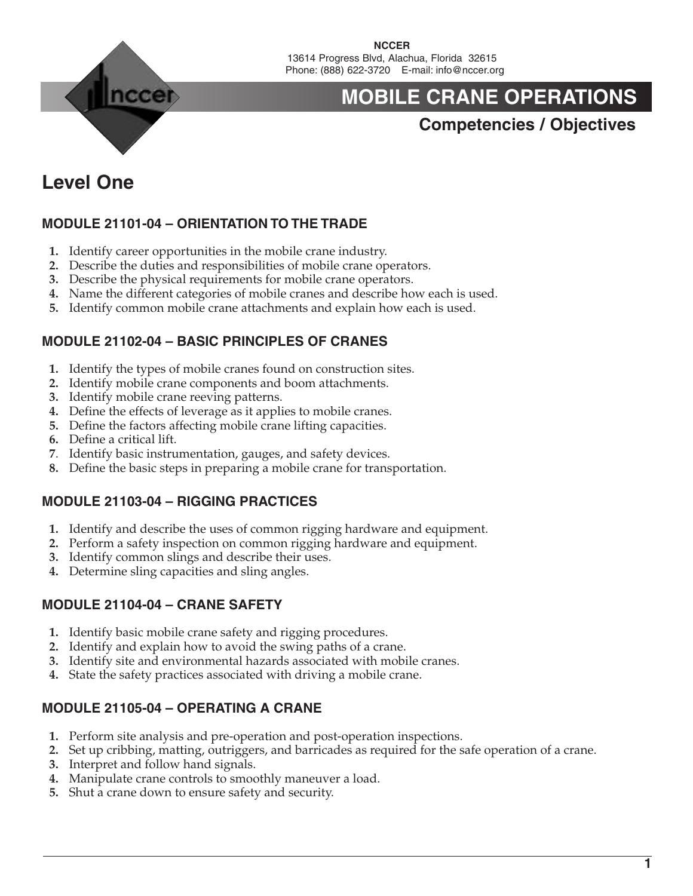

**NCCER** 13614 Progress Blvd, Alachua, Florida 32615 Phone: (888) 622-3720 E-mail: info@nccer.org

# **MOBILE CRANE OPERATIONS**

### **Competencies / Objectives**

### **Level One**

#### **MODULE 21101-04 – ORIENTATION TO THE TRADE**

- **1.** Identify career opportunities in the mobile crane industry.
- **2.** Describe the duties and responsibilities of mobile crane operators.
- **3.** Describe the physical requirements for mobile crane operators.
- **4.** Name the different categories of mobile cranes and describe how each is used.
- **5.** Identify common mobile crane attachments and explain how each is used.

#### **MODULE 21102-04 – BASIC PRINCIPLES OF CRANES**

- **1.** Identify the types of mobile cranes found on construction sites.
- **2.** Identify mobile crane components and boom attachments.
- **3.** Identify mobile crane reeving patterns.
- **4.** Define the effects of leverage as it applies to mobile cranes.
- **5.** Define the factors affecting mobile crane lifting capacities.
- **6.** Define a critical lift.
- **7**. Identify basic instrumentation, gauges, and safety devices.
- **8.** Define the basic steps in preparing a mobile crane for transportation.

#### **MODULE 21103-04 – RIGGING PRACTICES**

- **1.** Identify and describe the uses of common rigging hardware and equipment.
- **2.** Perform a safety inspection on common rigging hardware and equipment.
- **3.** Identify common slings and describe their uses.
- **4.** Determine sling capacities and sling angles.

#### **MODULE 21104-04 – CRANE SAFETY**

- **1.** Identify basic mobile crane safety and rigging procedures.
- **2.** Identify and explain how to avoid the swing paths of a crane.
- **3.** Identify site and environmental hazards associated with mobile cranes.
- **4.** State the safety practices associated with driving a mobile crane.

#### **MODULE 21105-04 – OPERATING A CRANE**

- **1.** Perform site analysis and pre-operation and post-operation inspections.
- **2.** Set up cribbing, matting, outriggers, and barricades as required for the safe operation of a crane.
- **3.** Interpret and follow hand signals.
- **4.** Manipulate crane controls to smoothly maneuver a load.
- **5.** Shut a crane down to ensure safety and security.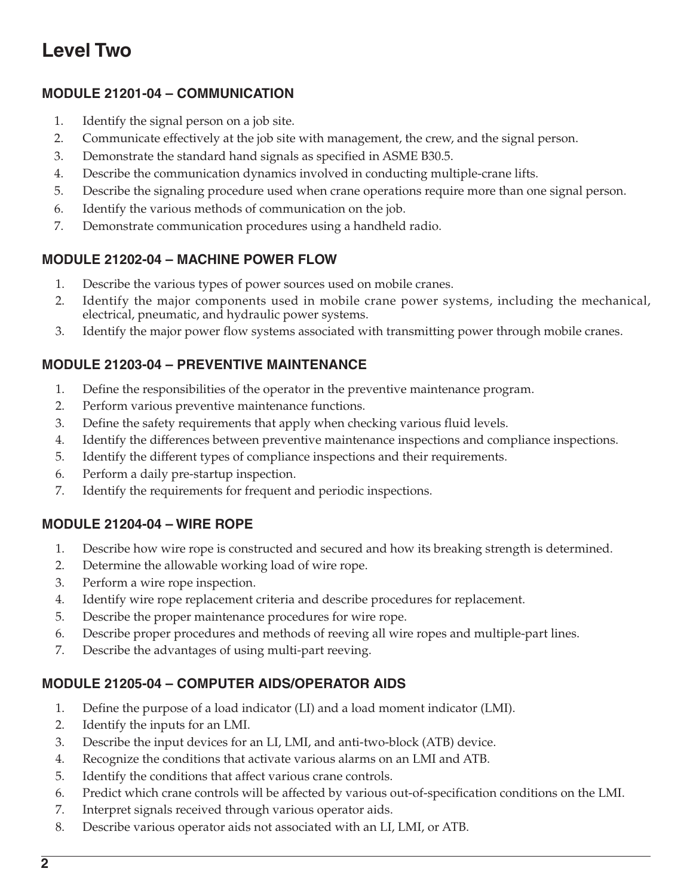### **Level Two**

#### **MODULE 21201-04 – COMMUNICATION**

- 1. Identify the signal person on a job site.
- 2. Communicate effectively at the job site with management, the crew, and the signal person.
- 3. Demonstrate the standard hand signals as specified in ASME B30.5.
- 4. Describe the communication dynamics involved in conducting multiple-crane lifts.
- 5. Describe the signaling procedure used when crane operations require more than one signal person.
- 6. Identify the various methods of communication on the job.
- 7. Demonstrate communication procedures using a handheld radio.

#### **MODULE 21202-04 – MACHINE POWER FLOW**

- 1. Describe the various types of power sources used on mobile cranes.
- 2. Identify the major components used in mobile crane power systems, including the mechanical, electrical, pneumatic, and hydraulic power systems.
- 3. Identify the major power flow systems associated with transmitting power through mobile cranes.

#### **MODULE 21203-04 – PREVENTIVE MAINTENANCE**

- 1. Define the responsibilities of the operator in the preventive maintenance program.
- 2. Perform various preventive maintenance functions.
- 3. Define the safety requirements that apply when checking various fluid levels.
- 4. Identify the differences between preventive maintenance inspections and compliance inspections.
- 5. Identify the different types of compliance inspections and their requirements.
- 6. Perform a daily pre-startup inspection.
- 7. Identify the requirements for frequent and periodic inspections.

#### **MODULE 21204-04 – WIRE ROPE**

- 1. Describe how wire rope is constructed and secured and how its breaking strength is determined.
- 2. Determine the allowable working load of wire rope.
- 3. Perform a wire rope inspection.
- 4. Identify wire rope replacement criteria and describe procedures for replacement.
- 5. Describe the proper maintenance procedures for wire rope.
- 6. Describe proper procedures and methods of reeving all wire ropes and multiple-part lines.
- 7. Describe the advantages of using multi-part reeving.

#### **MODULE 21205-04 – COMPUTER AIDS/OPERATOR AIDS**

- 1. Define the purpose of a load indicator (LI) and a load moment indicator (LMI).
- 2. Identify the inputs for an LMI.
- 3. Describe the input devices for an LI, LMI, and anti-two-block (ATB) device.
- 4. Recognize the conditions that activate various alarms on an LMI and ATB.
- 5. Identify the conditions that affect various crane controls.
- 6. Predict which crane controls will be affected by various out-of-specification conditions on the LMI.
- 7. Interpret signals received through various operator aids.
- 8. Describe various operator aids not associated with an LI, LMI, or ATB.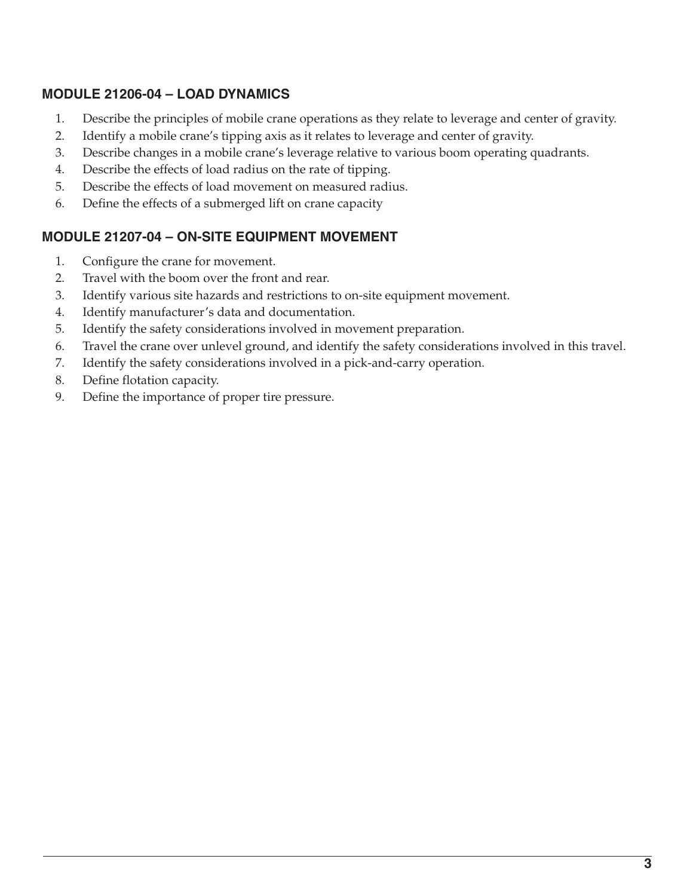#### **MODULE 21206-04 – LOAD DYNAMICS**

- 1. Describe the principles of mobile crane operations as they relate to leverage and center of gravity.
- 2. Identify a mobile crane's tipping axis as it relates to leverage and center of gravity.
- 3. Describe changes in a mobile crane's leverage relative to various boom operating quadrants.
- 4. Describe the effects of load radius on the rate of tipping.
- 5. Describe the effects of load movement on measured radius.
- 6. Define the effects of a submerged lift on crane capacity

#### **MODULE 21207-04 – ON-SITE EQUIPMENT MOVEMENT**

- 1. Configure the crane for movement.
- 2. Travel with the boom over the front and rear.
- 3. Identify various site hazards and restrictions to on-site equipment movement.
- 4. Identify manufacturer's data and documentation.
- 5. Identify the safety considerations involved in movement preparation.
- 6. Travel the crane over unlevel ground, and identify the safety considerations involved in this travel.
- 7. Identify the safety considerations involved in a pick-and-carry operation.
- 8. Define flotation capacity.
- 9. Define the importance of proper tire pressure.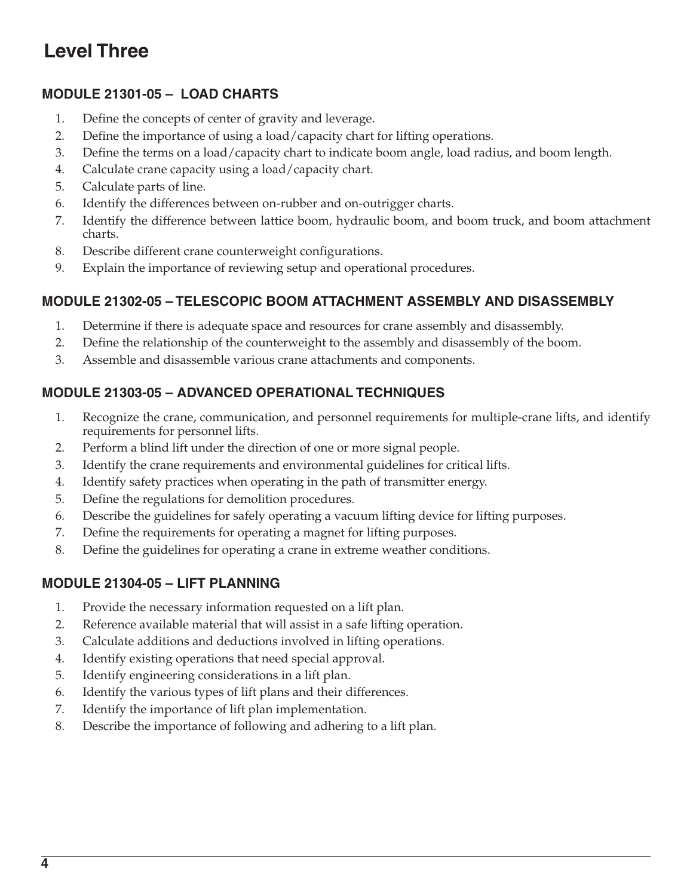## **Level Three**

#### **MODULE 21301-05 – LOAD CHARTS**

- 1. Define the concepts of center of gravity and leverage.
- 2. Define the importance of using a load/capacity chart for lifting operations.
- 3. Define the terms on a load/capacity chart to indicate boom angle, load radius, and boom length.
- 4. Calculate crane capacity using a load/capacity chart.
- 5. Calculate parts of line.
- 6. Identify the differences between on-rubber and on-outrigger charts.
- 7. Identify the difference between lattice boom, hydraulic boom, and boom truck, and boom attachment charts.
- 8. Describe different crane counterweight configurations.
- 9. Explain the importance of reviewing setup and operational procedures.

#### **MODULE 21302-05 – TELESCOPIC BOOM ATTACHMENT ASSEMBLY AND DISASSEMBLY**

- 1. Determine if there is adequate space and resources for crane assembly and disassembly.
- 2. Define the relationship of the counterweight to the assembly and disassembly of the boom.
- 3. Assemble and disassemble various crane attachments and components.

#### **MODULE 21303-05 – ADVANCED OPERATIONAL TECHNIQUES**

- 1. Recognize the crane, communication, and personnel requirements for multiple-crane lifts, and identify requirements for personnel lifts.
- 2. Perform a blind lift under the direction of one or more signal people.
- 3. Identify the crane requirements and environmental guidelines for critical lifts.
- 4. Identify safety practices when operating in the path of transmitter energy.
- 5. Define the regulations for demolition procedures.
- 6. Describe the guidelines for safely operating a vacuum lifting device for lifting purposes.
- 7. Define the requirements for operating a magnet for lifting purposes.
- 8. Define the guidelines for operating a crane in extreme weather conditions.

#### **MODULE 21304-05 – LIFT PLANNING**

- 1. Provide the necessary information requested on a lift plan.
- 2. Reference available material that will assist in a safe lifting operation.
- 3. Calculate additions and deductions involved in lifting operations.
- 4. Identify existing operations that need special approval.
- 5. Identify engineering considerations in a lift plan.
- 6. Identify the various types of lift plans and their differences.
- 7. Identify the importance of lift plan implementation.
- 8. Describe the importance of following and adhering to a lift plan.